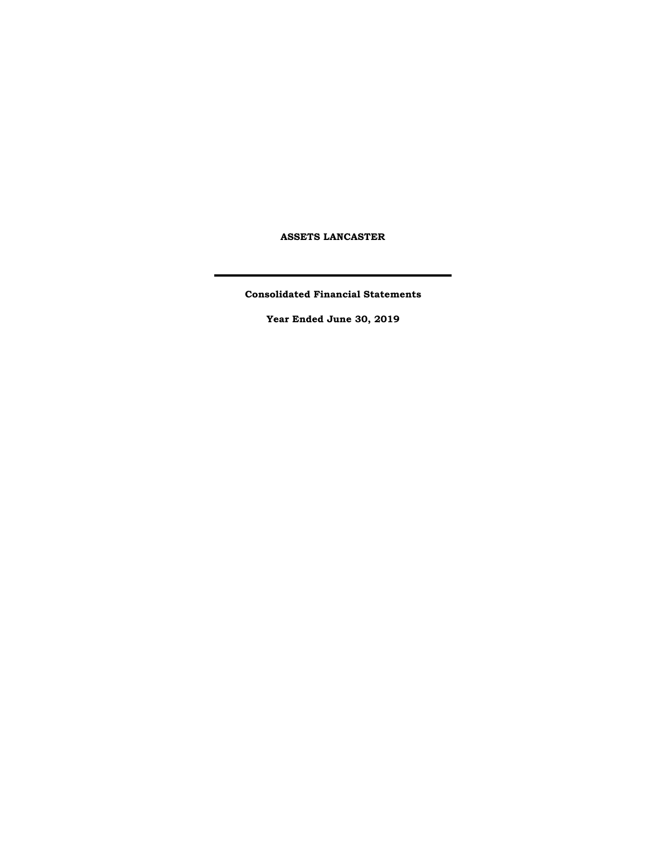**ASSETS LANCASTER**

**Consolidated Financial Statements**

**Year Ended June 30, 2019**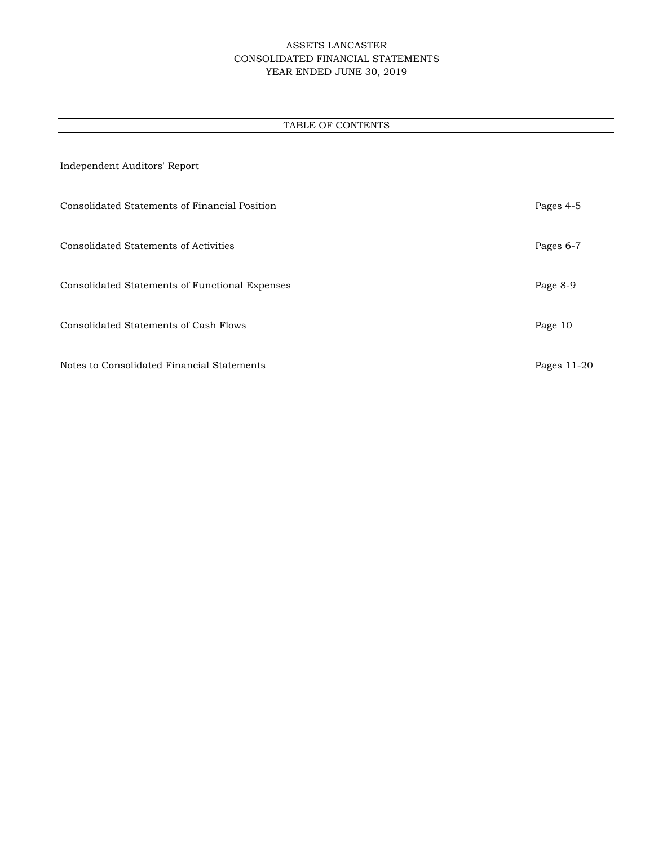# ASSETS LANCASTER CONSOLIDATED FINANCIAL STATEMENTS YEAR ENDED JUNE 30, 2019

# TABLE OF CONTENTS

| Independent Auditors' Report                   |             |
|------------------------------------------------|-------------|
| Consolidated Statements of Financial Position  | Pages 4-5   |
| <b>Consolidated Statements of Activities</b>   | Pages 6-7   |
| Consolidated Statements of Functional Expenses | Page 8-9    |
| Consolidated Statements of Cash Flows          | Page 10     |
| Notes to Consolidated Financial Statements     | Pages 11-20 |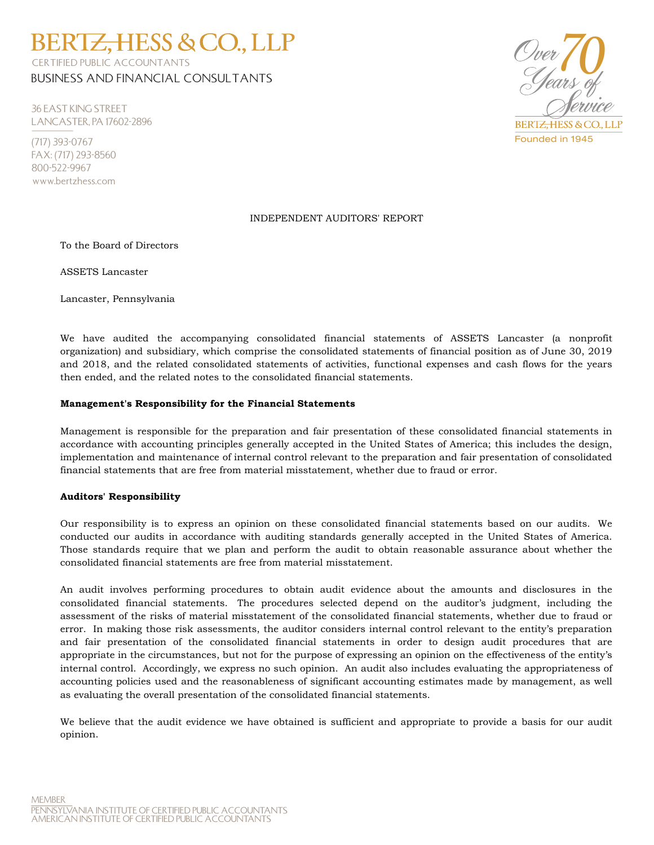CERTIFIED PUBLIC ACCOUNTANTS BUSINESS AND FINANCIAL CONSULTANTS

**BERTZ, HESS & CO., LLP** 

36 EAST KING STREET LANCASTER, PA 17602-2896

(717) 393-0767 FAX: (717) 293-8560 800-522-9967 www.bertzhess.com



# INDEPENDENT AUDITORS' REPORT

To the Board of Directors

ASSETS Lancaster

Lancaster, Pennsylvania

We have audited the accompanying consolidated financial statements of ASSETS Lancaster (a nonprofit organization) and subsidiary, which comprise the consolidated statements of financial position as of June 30, 2019 and 2018, and the related consolidated statements of activities, functional expenses and cash flows for the years then ended, and the related notes to the consolidated financial statements.

## **Management's Responsibility for the Financial Statements**

Management is responsible for the preparation and fair presentation of these consolidated financial statements in accordance with accounting principles generally accepted in the United States of America; this includes the design, implementation and maintenance of internal control relevant to the preparation and fair presentation of consolidated financial statements that are free from material misstatement, whether due to fraud or error.

### **Auditors' Responsibility**

Our responsibility is to express an opinion on these consolidated financial statements based on our audits. We conducted our audits in accordance with auditing standards generally accepted in the United States of America. Those standards require that we plan and perform the audit to obtain reasonable assurance about whether the consolidated financial statements are free from material misstatement.

An audit involves performing procedures to obtain audit evidence about the amounts and disclosures in the consolidated financial statements. The procedures selected depend on the auditor's judgment, including the assessment of the risks of material misstatement of the consolidated financial statements, whether due to fraud or error. In making those risk assessments, the auditor considers internal control relevant to the entity's preparation and fair presentation of the consolidated financial statements in order to design audit procedures that are appropriate in the circumstances, but not for the purpose of expressing an opinion on the effectiveness of the entity's internal control. Accordingly, we express no such opinion. An audit also includes evaluating the appropriateness of accounting policies used and the reasonableness of significant accounting estimates made by management, as well as evaluating the overall presentation of the consolidated financial statements.

We believe that the audit evidence we have obtained is sufficient and appropriate to provide a basis for our audit opinion.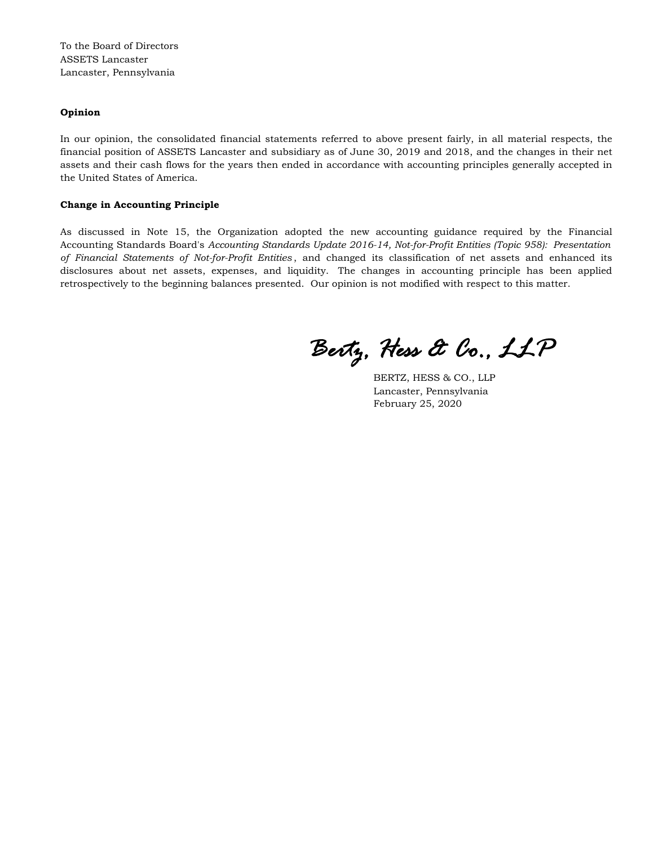To the Board of Directors ASSETS Lancaster Lancaster, Pennsylvania

### **Opinion**

In our opinion, the consolidated financial statements referred to above present fairly, in all material respects, the financial position of ASSETS Lancaster and subsidiary as of June 30, 2019 and 2018, and the changes in their net assets and their cash flows for the years then ended in accordance with accounting principles generally accepted in the United States of America.

#### **Change in Accounting Principle**

As discussed in Note 15, the Organization adopted the new accounting guidance required by the Financial Accounting Standards Board's *Accounting Standards Update 2016-14, Not-for-Profit Entities (Topic 958): Presentation of Financial Statements of Not-for-Profit Entities* , and changed its classification of net assets and enhanced its disclosures about net assets, expenses, and liquidity. The changes in accounting principle has been applied retrospectively to the beginning balances presented. Our opinion is not modified with respect to this matter.

*Bertz, Hess & Co., LLP*

BERTZ, HESS & CO., LLP Lancaster, Pennsylvania February 25, 2020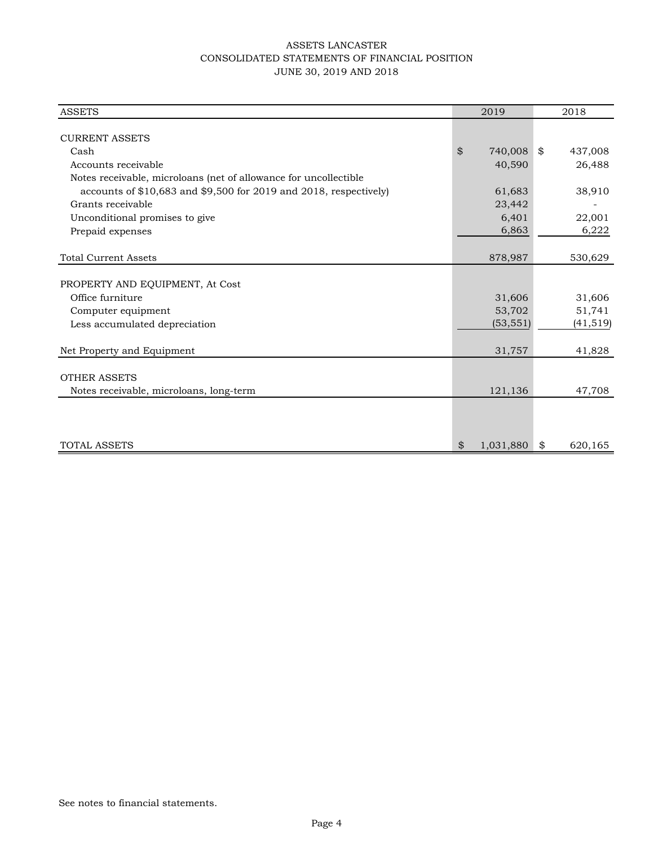# ASSETS LANCASTER CONSOLIDATED STATEMENTS OF FINANCIAL POSITION JUNE 30, 2019 AND 2018

| <b>ASSETS</b>                                                       | 2019            | 2018          |
|---------------------------------------------------------------------|-----------------|---------------|
|                                                                     |                 |               |
| <b>CURRENT ASSETS</b>                                               |                 |               |
| Cash                                                                | \$<br>740,008   | \$<br>437,008 |
| Accounts receivable                                                 | 40,590          | 26,488        |
| Notes receivable, microloans (net of allowance for uncollectible    |                 |               |
| accounts of $$10,683$ and $$9,500$ for 2019 and 2018, respectively) | 61,683          | 38,910        |
| Grants receivable                                                   | 23,442          |               |
| Unconditional promises to give                                      | 6,401           | 22,001        |
| Prepaid expenses                                                    | 6,863           | 6,222         |
|                                                                     |                 |               |
| <b>Total Current Assets</b>                                         | 878,987         | 530,629       |
|                                                                     |                 |               |
| PROPERTY AND EQUIPMENT, At Cost                                     |                 |               |
| Office furniture                                                    | 31,606          | 31,606        |
| Computer equipment                                                  | 53,702          | 51,741        |
| Less accumulated depreciation                                       | (53, 551)       | (41, 519)     |
|                                                                     |                 |               |
| Net Property and Equipment                                          | 31,757          | 41,828        |
|                                                                     |                 |               |
| <b>OTHER ASSETS</b>                                                 |                 |               |
| Notes receivable, microloans, long-term                             | 121,136         | 47,708        |
|                                                                     |                 |               |
|                                                                     |                 |               |
|                                                                     |                 |               |
| <b>TOTAL ASSETS</b>                                                 | \$<br>1,031,880 | 620,165<br>\$ |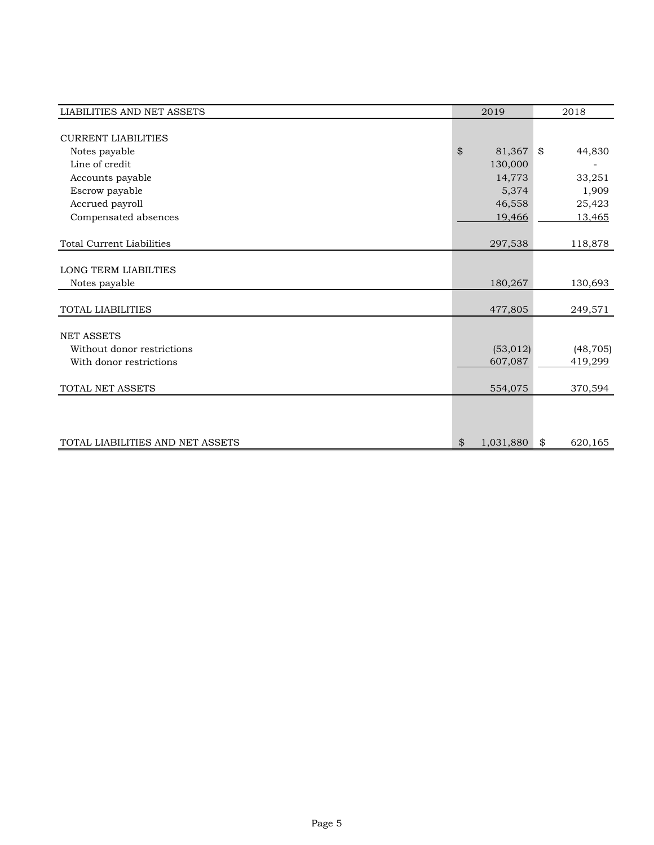| <b>LIABILITIES AND NET ASSETS</b> | 2019            | 2018 |           |
|-----------------------------------|-----------------|------|-----------|
|                                   |                 |      |           |
| <b>CURRENT LIABILITIES</b>        |                 |      |           |
| Notes payable                     | \$<br>81,367    | \$   | 44,830    |
| Line of credit                    | 130,000         |      |           |
| Accounts payable                  | 14,773          |      | 33,251    |
| Escrow payable                    | 5,374           |      | 1,909     |
| Accrued payroll                   | 46,558          |      | 25,423    |
| Compensated absences              | 19,466          |      | 13,465    |
|                                   |                 |      |           |
| <b>Total Current Liabilities</b>  | 297,538         |      | 118,878   |
|                                   |                 |      |           |
| <b>LONG TERM LIABILTIES</b>       |                 |      |           |
| Notes payable                     | 180,267         |      | 130,693   |
|                                   |                 |      |           |
| TOTAL LIABILITIES                 | 477,805         |      | 249,571   |
|                                   |                 |      |           |
| <b>NET ASSETS</b>                 |                 |      |           |
| Without donor restrictions        | (53, 012)       |      | (48, 705) |
| With donor restrictions           | 607,087         |      | 419,299   |
|                                   |                 |      |           |
| TOTAL NET ASSETS                  | 554,075         |      | 370,594   |
|                                   |                 |      |           |
|                                   |                 |      |           |
|                                   |                 |      |           |
| TOTAL LIABILITIES AND NET ASSETS  | \$<br>1,031,880 | \$   | 620,165   |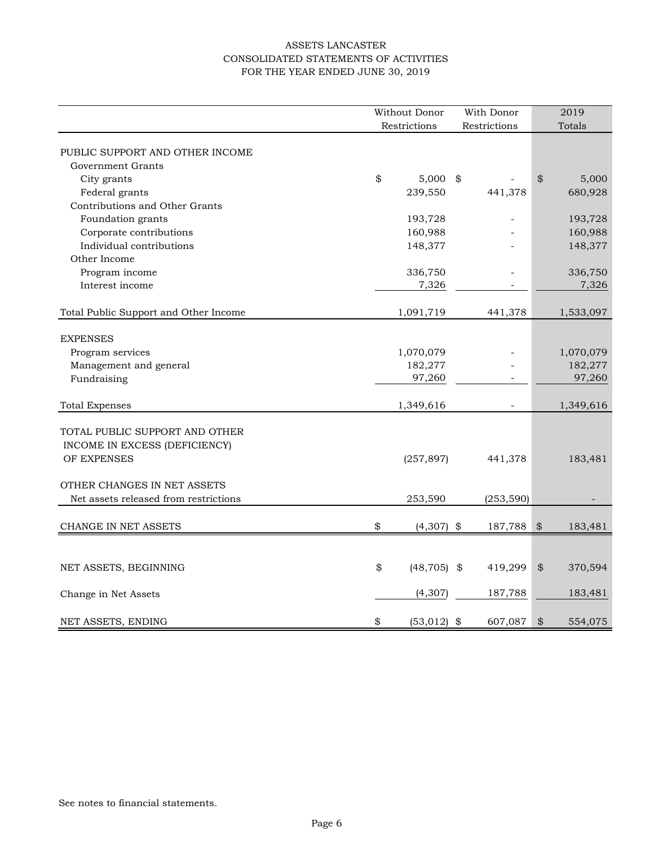# ASSETS LANCASTER CONSOLIDATED STATEMENTS OF ACTIVITIES FOR THE YEAR ENDED JUNE 30, 2019

| Restrictions<br>Restrictions<br>Totals<br>PUBLIC SUPPORT AND OTHER INCOME<br>Government Grants<br>\$<br>\$<br>5,000<br>City grants<br>$5,000$ \$<br>Federal grants<br>239,550<br>441,378<br>680,928<br>Contributions and Other Grants<br>Foundation grants<br>193,728<br>193,728<br>÷.<br>Corporate contributions<br>160,988<br>160,988<br>Individual contributions<br>148,377<br>148,377<br>Other Income<br>Program income<br>336,750<br>336,750<br>7,326<br>7,326<br>Interest income<br>Total Public Support and Other Income<br>1,091,719<br>441,378<br>1,533,097<br><b>EXPENSES</b><br>Program services<br>1,070,079<br>1,070,079<br>Management and general<br>182,277<br>182,277<br>Fundraising<br>97,260<br>97,260<br>÷.<br><b>Total Expenses</b><br>1,349,616<br>1,349,616<br>TOTAL PUBLIC SUPPORT AND OTHER<br>INCOME IN EXCESS (DEFICIENCY)<br>OF EXPENSES<br>(257, 897)<br>441,378<br>183,481<br>OTHER CHANGES IN NET ASSETS<br>Net assets released from restrictions<br>253,590<br>(253, 590)<br>\$<br>$(4,307)$ \$<br>CHANGE IN NET ASSETS<br>187,788<br>\$<br>183,481<br>\$<br>$(48, 705)$ \$<br>419,299<br>\$<br>370,594<br>NET ASSETS, BEGINNING | Without Donor |  | With Donor |  | 2019 |
|-----------------------------------------------------------------------------------------------------------------------------------------------------------------------------------------------------------------------------------------------------------------------------------------------------------------------------------------------------------------------------------------------------------------------------------------------------------------------------------------------------------------------------------------------------------------------------------------------------------------------------------------------------------------------------------------------------------------------------------------------------------------------------------------------------------------------------------------------------------------------------------------------------------------------------------------------------------------------------------------------------------------------------------------------------------------------------------------------------------------------------------------------------------------|---------------|--|------------|--|------|
|                                                                                                                                                                                                                                                                                                                                                                                                                                                                                                                                                                                                                                                                                                                                                                                                                                                                                                                                                                                                                                                                                                                                                                 |               |  |            |  |      |
|                                                                                                                                                                                                                                                                                                                                                                                                                                                                                                                                                                                                                                                                                                                                                                                                                                                                                                                                                                                                                                                                                                                                                                 |               |  |            |  |      |
|                                                                                                                                                                                                                                                                                                                                                                                                                                                                                                                                                                                                                                                                                                                                                                                                                                                                                                                                                                                                                                                                                                                                                                 |               |  |            |  |      |
|                                                                                                                                                                                                                                                                                                                                                                                                                                                                                                                                                                                                                                                                                                                                                                                                                                                                                                                                                                                                                                                                                                                                                                 |               |  |            |  |      |
|                                                                                                                                                                                                                                                                                                                                                                                                                                                                                                                                                                                                                                                                                                                                                                                                                                                                                                                                                                                                                                                                                                                                                                 |               |  |            |  |      |
|                                                                                                                                                                                                                                                                                                                                                                                                                                                                                                                                                                                                                                                                                                                                                                                                                                                                                                                                                                                                                                                                                                                                                                 |               |  |            |  |      |
|                                                                                                                                                                                                                                                                                                                                                                                                                                                                                                                                                                                                                                                                                                                                                                                                                                                                                                                                                                                                                                                                                                                                                                 |               |  |            |  |      |
|                                                                                                                                                                                                                                                                                                                                                                                                                                                                                                                                                                                                                                                                                                                                                                                                                                                                                                                                                                                                                                                                                                                                                                 |               |  |            |  |      |
|                                                                                                                                                                                                                                                                                                                                                                                                                                                                                                                                                                                                                                                                                                                                                                                                                                                                                                                                                                                                                                                                                                                                                                 |               |  |            |  |      |
|                                                                                                                                                                                                                                                                                                                                                                                                                                                                                                                                                                                                                                                                                                                                                                                                                                                                                                                                                                                                                                                                                                                                                                 |               |  |            |  |      |
|                                                                                                                                                                                                                                                                                                                                                                                                                                                                                                                                                                                                                                                                                                                                                                                                                                                                                                                                                                                                                                                                                                                                                                 |               |  |            |  |      |
|                                                                                                                                                                                                                                                                                                                                                                                                                                                                                                                                                                                                                                                                                                                                                                                                                                                                                                                                                                                                                                                                                                                                                                 |               |  |            |  |      |
|                                                                                                                                                                                                                                                                                                                                                                                                                                                                                                                                                                                                                                                                                                                                                                                                                                                                                                                                                                                                                                                                                                                                                                 |               |  |            |  |      |
|                                                                                                                                                                                                                                                                                                                                                                                                                                                                                                                                                                                                                                                                                                                                                                                                                                                                                                                                                                                                                                                                                                                                                                 |               |  |            |  |      |
|                                                                                                                                                                                                                                                                                                                                                                                                                                                                                                                                                                                                                                                                                                                                                                                                                                                                                                                                                                                                                                                                                                                                                                 |               |  |            |  |      |
|                                                                                                                                                                                                                                                                                                                                                                                                                                                                                                                                                                                                                                                                                                                                                                                                                                                                                                                                                                                                                                                                                                                                                                 |               |  |            |  |      |
|                                                                                                                                                                                                                                                                                                                                                                                                                                                                                                                                                                                                                                                                                                                                                                                                                                                                                                                                                                                                                                                                                                                                                                 |               |  |            |  |      |
|                                                                                                                                                                                                                                                                                                                                                                                                                                                                                                                                                                                                                                                                                                                                                                                                                                                                                                                                                                                                                                                                                                                                                                 |               |  |            |  |      |
|                                                                                                                                                                                                                                                                                                                                                                                                                                                                                                                                                                                                                                                                                                                                                                                                                                                                                                                                                                                                                                                                                                                                                                 |               |  |            |  |      |
|                                                                                                                                                                                                                                                                                                                                                                                                                                                                                                                                                                                                                                                                                                                                                                                                                                                                                                                                                                                                                                                                                                                                                                 |               |  |            |  |      |
|                                                                                                                                                                                                                                                                                                                                                                                                                                                                                                                                                                                                                                                                                                                                                                                                                                                                                                                                                                                                                                                                                                                                                                 |               |  |            |  |      |
|                                                                                                                                                                                                                                                                                                                                                                                                                                                                                                                                                                                                                                                                                                                                                                                                                                                                                                                                                                                                                                                                                                                                                                 |               |  |            |  |      |
|                                                                                                                                                                                                                                                                                                                                                                                                                                                                                                                                                                                                                                                                                                                                                                                                                                                                                                                                                                                                                                                                                                                                                                 |               |  |            |  |      |
|                                                                                                                                                                                                                                                                                                                                                                                                                                                                                                                                                                                                                                                                                                                                                                                                                                                                                                                                                                                                                                                                                                                                                                 |               |  |            |  |      |
|                                                                                                                                                                                                                                                                                                                                                                                                                                                                                                                                                                                                                                                                                                                                                                                                                                                                                                                                                                                                                                                                                                                                                                 |               |  |            |  |      |
|                                                                                                                                                                                                                                                                                                                                                                                                                                                                                                                                                                                                                                                                                                                                                                                                                                                                                                                                                                                                                                                                                                                                                                 |               |  |            |  |      |
|                                                                                                                                                                                                                                                                                                                                                                                                                                                                                                                                                                                                                                                                                                                                                                                                                                                                                                                                                                                                                                                                                                                                                                 |               |  |            |  |      |
|                                                                                                                                                                                                                                                                                                                                                                                                                                                                                                                                                                                                                                                                                                                                                                                                                                                                                                                                                                                                                                                                                                                                                                 |               |  |            |  |      |
|                                                                                                                                                                                                                                                                                                                                                                                                                                                                                                                                                                                                                                                                                                                                                                                                                                                                                                                                                                                                                                                                                                                                                                 |               |  |            |  |      |
|                                                                                                                                                                                                                                                                                                                                                                                                                                                                                                                                                                                                                                                                                                                                                                                                                                                                                                                                                                                                                                                                                                                                                                 |               |  |            |  |      |
|                                                                                                                                                                                                                                                                                                                                                                                                                                                                                                                                                                                                                                                                                                                                                                                                                                                                                                                                                                                                                                                                                                                                                                 |               |  |            |  |      |
| (4, 307)<br>187,788<br>183,481<br>Change in Net Assets                                                                                                                                                                                                                                                                                                                                                                                                                                                                                                                                                                                                                                                                                                                                                                                                                                                                                                                                                                                                                                                                                                          |               |  |            |  |      |
| \$<br>\$<br>NET ASSETS, ENDING<br>$(53,012)$ \$<br>607,087<br>554,075                                                                                                                                                                                                                                                                                                                                                                                                                                                                                                                                                                                                                                                                                                                                                                                                                                                                                                                                                                                                                                                                                           |               |  |            |  |      |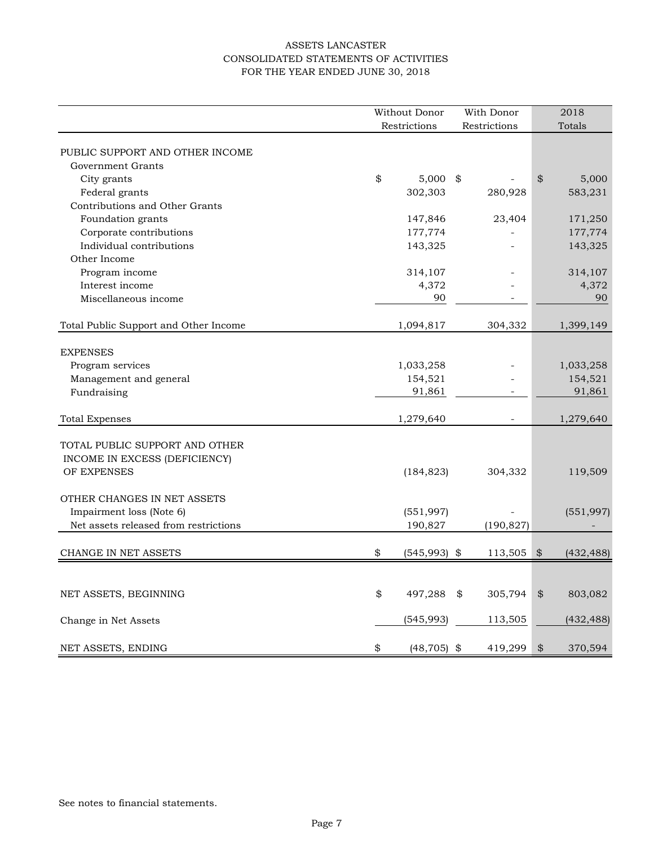# ASSETS LANCASTER CONSOLIDATED STATEMENTS OF ACTIVITIES FOR THE YEAR ENDED JUNE 30, 2018

|                                       | Without Donor        | With Donor               |                            | 2018       |
|---------------------------------------|----------------------|--------------------------|----------------------------|------------|
|                                       | Restrictions         | Restrictions             |                            | Totals     |
| PUBLIC SUPPORT AND OTHER INCOME       |                      |                          |                            |            |
| Government Grants                     |                      |                          |                            |            |
| City grants                           | \$<br>$5,000$ \$     |                          | $\boldsymbol{\mathcal{L}}$ | 5,000      |
| Federal grants                        | 302,303              | 280,928                  |                            | 583,231    |
| Contributions and Other Grants        |                      |                          |                            |            |
| Foundation grants                     | 147,846              | 23,404                   |                            | 171,250    |
| Corporate contributions               | 177,774              |                          |                            | 177,774    |
| Individual contributions              | 143,325              |                          |                            | 143,325    |
| Other Income                          |                      |                          |                            |            |
| Program income                        | 314,107              |                          |                            | 314,107    |
| Interest income                       | 4,372                |                          |                            | 4,372      |
| Miscellaneous income                  | 90                   | $\overline{\phantom{0}}$ |                            | 90         |
|                                       |                      |                          |                            |            |
| Total Public Support and Other Income | 1,094,817            | 304,332                  |                            | 1,399,149  |
|                                       |                      |                          |                            |            |
| <b>EXPENSES</b>                       |                      |                          |                            |            |
| Program services                      | 1,033,258            |                          |                            | 1,033,258  |
| Management and general                | 154,521              |                          |                            | 154,521    |
| Fundraising                           | 91,861               |                          |                            | 91,861     |
|                                       |                      |                          |                            |            |
| <b>Total Expenses</b>                 | 1,279,640            |                          |                            | 1,279,640  |
|                                       |                      |                          |                            |            |
| TOTAL PUBLIC SUPPORT AND OTHER        |                      |                          |                            |            |
| INCOME IN EXCESS (DEFICIENCY)         |                      |                          |                            |            |
| OF EXPENSES                           | (184, 823)           | 304,332                  |                            | 119,509    |
| OTHER CHANGES IN NET ASSETS           |                      |                          |                            |            |
| Impairment loss (Note 6)              | (551, 997)           |                          |                            | (551, 997) |
| Net assets released from restrictions | 190,827              | (190, 827)               |                            |            |
|                                       |                      |                          |                            |            |
| CHANGE IN NET ASSETS                  | \$<br>$(545,993)$ \$ | 113,505                  | \$                         | (432, 488) |
|                                       |                      |                          |                            |            |
| NET ASSETS, BEGINNING                 | \$<br>497,288        | \$<br>305,794            | $\boldsymbol{\mathcal{L}}$ | 803,082    |
|                                       |                      |                          |                            |            |
| Change in Net Assets                  | (545,993)            | 113,505                  |                            | (432, 488) |
|                                       |                      |                          |                            |            |
| NET ASSETS, ENDING                    | \$<br>$(48, 705)$ \$ | 419,299                  | $\boldsymbol{\mathcal{L}}$ | 370,594    |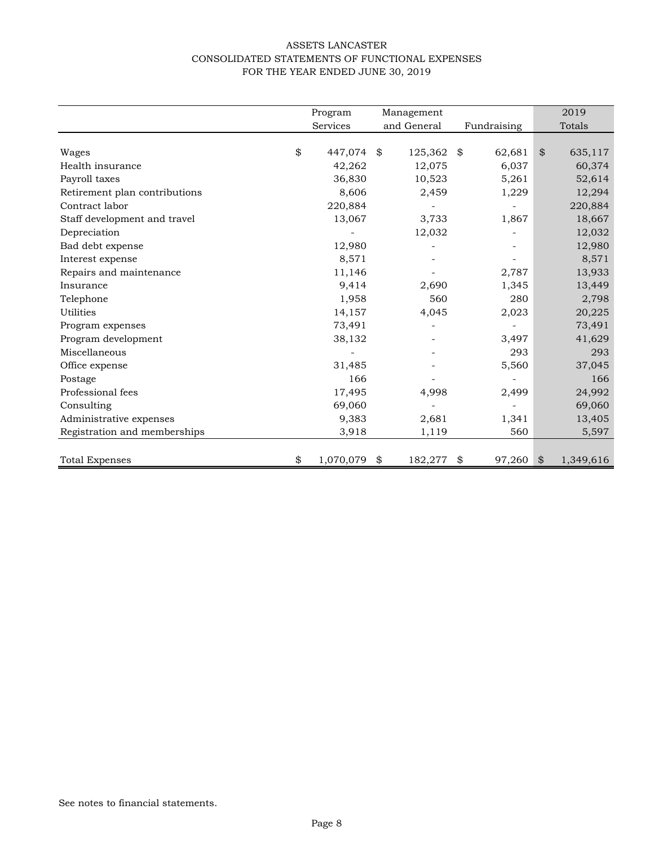# ASSETS LANCASTER CONSOLIDATED STATEMENTS OF FUNCTIONAL EXPENSES FOR THE YEAR ENDED JUNE 30, 2019

|                               | Program         | Management    |    |             | 2019            |
|-------------------------------|-----------------|---------------|----|-------------|-----------------|
|                               | <b>Services</b> | and General   |    | Fundraising | Totals          |
|                               |                 |               |    |             |                 |
| Wages                         | \$<br>447,074   | \$<br>125,362 | \$ | 62,681      | \$<br>635,117   |
| Health insurance              | 42,262          | 12,075        |    | 6,037       | 60,374          |
| Payroll taxes                 | 36,830          | 10,523        |    | 5,261       | 52,614          |
| Retirement plan contributions | 8,606           | 2,459         |    | 1,229       | 12,294          |
| Contract labor                | 220,884         |               |    |             | 220,884         |
| Staff development and travel  | 13,067          | 3,733         |    | 1,867       | 18,667          |
| Depreciation                  |                 | 12,032        |    |             | 12,032          |
| Bad debt expense              | 12,980          |               |    |             | 12,980          |
| Interest expense              | 8,571           |               |    |             | 8,571           |
| Repairs and maintenance       | 11,146          |               |    | 2,787       | 13,933          |
| Insurance                     | 9,414           | 2,690         |    | 1,345       | 13,449          |
| Telephone                     | 1,958           | 560           |    | 280         | 2,798           |
| Utilities                     | 14,157          | 4,045         |    | 2,023       | 20,225          |
| Program expenses              | 73,491          |               |    |             | 73,491          |
| Program development           | 38,132          |               |    | 3,497       | 41,629          |
| Miscellaneous                 |                 |               |    | 293         | 293             |
| Office expense                | 31,485          |               |    | 5,560       | 37,045          |
| Postage                       | 166             |               |    |             | 166             |
| Professional fees             | 17,495          | 4,998         |    | 2,499       | 24,992          |
| Consulting                    | 69,060          |               |    |             | 69,060          |
| Administrative expenses       | 9,383           | 2,681         |    | 1,341       | 13,405          |
| Registration and memberships  | 3,918           | 1,119         |    | 560         | 5,597           |
|                               |                 |               |    |             |                 |
| <b>Total Expenses</b>         | \$<br>1,070,079 | \$<br>182,277 | \$ | 97,260      | \$<br>1,349,616 |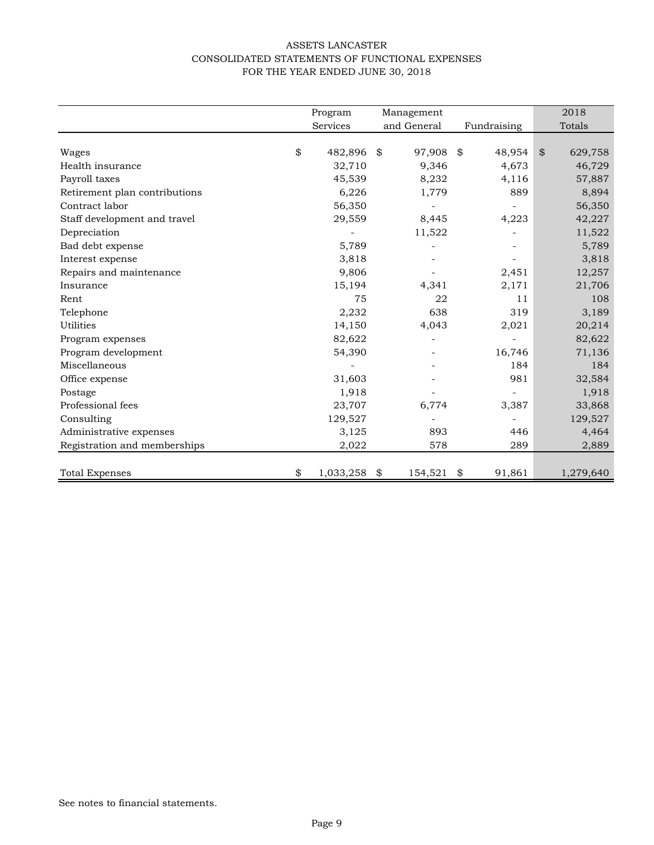# ASSETS LANCASTER CONSOLIDATED STATEMENTS OF FUNCTIONAL EXPENSES FOR THE YEAR ENDED JUNE 30, 2018

|                               | Program         | Management  |         |      |             | 2018          |
|-------------------------------|-----------------|-------------|---------|------|-------------|---------------|
|                               | Services        | and General |         |      | Fundraising | Totals        |
|                               |                 |             |         |      |             |               |
| Wages                         | \$<br>482,896   | \$          | 97,908  | - \$ | 48,954      | \$<br>629,758 |
| Health insurance              | 32,710          |             | 9,346   |      | 4,673       | 46,729        |
| Payroll taxes                 | 45,539          |             | 8,232   |      | 4,116       | 57,887        |
| Retirement plan contributions | 6,226           |             | 1,779   |      | 889         | 8,894         |
| Contract labor                | 56,350          |             |         |      |             | 56,350        |
| Staff development and travel  | 29,559          |             | 8,445   |      | 4,223       | 42,227        |
| Depreciation                  |                 |             | 11,522  |      |             | 11,522        |
| Bad debt expense              | 5,789           |             |         |      |             | 5,789         |
| Interest expense              | 3,818           |             |         |      |             | 3,818         |
| Repairs and maintenance       | 9,806           |             |         |      | 2,451       | 12,257        |
| Insurance                     | 15,194          |             | 4,341   |      | 2,171       | 21,706        |
| Rent                          | 75              |             | 22      |      | 11          | 108           |
| Telephone                     | 2,232           |             | 638     |      | 319         | 3,189         |
| Utilities                     | 14,150          |             | 4,043   |      | 2,021       | 20,214        |
| Program expenses              | 82,622          |             |         |      |             | 82,622        |
| Program development           | 54,390          |             |         |      | 16,746      | 71,136        |
| Miscellaneous                 |                 |             |         |      | 184         | 184           |
| Office expense                | 31,603          |             |         |      | 981         | 32,584        |
| Postage                       | 1,918           |             |         |      |             | 1,918         |
| Professional fees             | 23,707          |             | 6,774   |      | 3,387       | 33,868        |
| Consulting                    | 129,527         |             |         |      |             | 129,527       |
| Administrative expenses       | 3,125           |             | 893     |      | 446         | 4,464         |
| Registration and memberships  | 2,022           |             | 578     |      | 289         | 2,889         |
|                               |                 |             |         |      |             |               |
| <b>Total Expenses</b>         | \$<br>1,033,258 | \$          | 154,521 | \$   | 91,861      | 1,279,640     |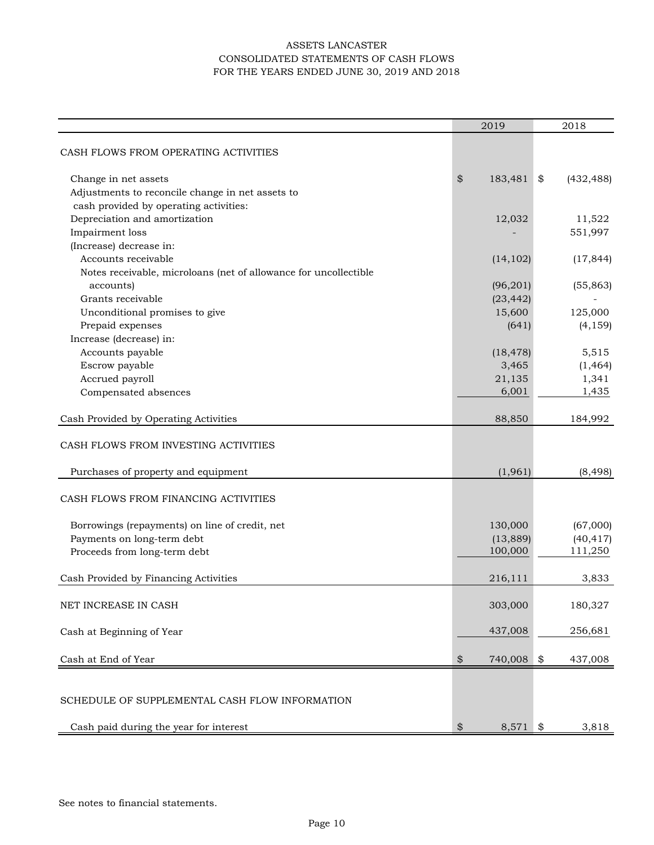# ASSETS LANCASTER CONSOLIDATED STATEMENTS OF CASH FLOWS FOR THE YEARS ENDED JUNE 30, 2019 AND 2018

|                                                                  | 2019             | 2018             |
|------------------------------------------------------------------|------------------|------------------|
|                                                                  |                  |                  |
| CASH FLOWS FROM OPERATING ACTIVITIES                             |                  |                  |
| Change in net assets                                             | \$<br>183,481    | \$<br>(432, 488) |
| Adjustments to reconcile change in net assets to                 |                  |                  |
| cash provided by operating activities:                           |                  |                  |
| Depreciation and amortization                                    | 12,032           | 11,522           |
| Impairment loss                                                  |                  | 551,997          |
| (Increase) decrease in:                                          |                  |                  |
| Accounts receivable                                              |                  | (17, 844)        |
|                                                                  | (14, 102)        |                  |
| Notes receivable, microloans (net of allowance for uncollectible |                  |                  |
| accounts)                                                        | (96,201)         | (55, 863)        |
| Grants receivable                                                | (23, 442)        |                  |
| Unconditional promises to give                                   | 15,600           | 125,000          |
| Prepaid expenses                                                 | (641)            | (4, 159)         |
| Increase (decrease) in:                                          |                  |                  |
| Accounts payable                                                 | (18, 478)        | 5,515            |
| Escrow payable                                                   | 3,465            | (1, 464)         |
| Accrued payroll                                                  | 21,135           | 1,341            |
| Compensated absences                                             | 6,001            | 1,435            |
|                                                                  |                  |                  |
| Cash Provided by Operating Activities                            | 88,850           | 184,992          |
| CASH FLOWS FROM INVESTING ACTIVITIES                             |                  |                  |
|                                                                  |                  |                  |
| Purchases of property and equipment                              | (1,961)          | (8, 498)         |
| CASH FLOWS FROM FINANCING ACTIVITIES                             |                  |                  |
|                                                                  |                  |                  |
| Borrowings (repayments) on line of credit, net                   | 130,000          | (67,000)         |
| Payments on long-term debt                                       | (13,889)         | (40, 417)        |
| Proceeds from long-term debt                                     | 100,000          | 111,250          |
|                                                                  |                  |                  |
| Cash Provided by Financing Activities                            | 216,111          | 3,833            |
|                                                                  |                  |                  |
| NET INCREASE IN CASH                                             | 303,000          | 180,327          |
|                                                                  |                  |                  |
| Cash at Beginning of Year                                        | 437,008          | 256,681          |
| Cash at End of Year                                              | \$<br>740,008    | \$<br>437,008    |
|                                                                  |                  |                  |
|                                                                  |                  |                  |
| SCHEDULE OF SUPPLEMENTAL CASH FLOW INFORMATION                   |                  |                  |
|                                                                  |                  |                  |
| Cash paid during the year for interest                           | \$<br>$8,571$ \$ | 3,818            |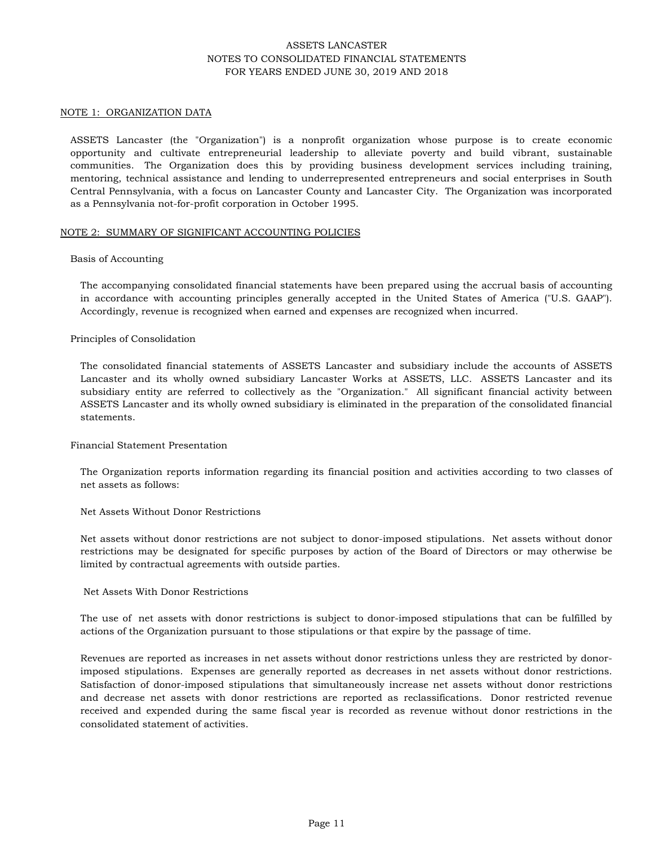### NOTE 1: ORGANIZATION DATA

ASSETS Lancaster (the "Organization") is a nonprofit organization whose purpose is to create economic opportunity and cultivate entrepreneurial leadership to alleviate poverty and build vibrant, sustainable communities. The Organization does this by providing business development services including training, mentoring, technical assistance and lending to underrepresented entrepreneurs and social enterprises in South Central Pennsylvania, with a focus on Lancaster County and Lancaster City. The Organization was incorporated as a Pennsylvania not-for-profit corporation in October 1995.

#### NOTE 2: SUMMARY OF SIGNIFICANT ACCOUNTING POLICIES

### Basis of Accounting

The accompanying consolidated financial statements have been prepared using the accrual basis of accounting in accordance with accounting principles generally accepted in the United States of America ("U.S. GAAP"). Accordingly, revenue is recognized when earned and expenses are recognized when incurred.

### Principles of Consolidation

The consolidated financial statements of ASSETS Lancaster and subsidiary include the accounts of ASSETS Lancaster and its wholly owned subsidiary Lancaster Works at ASSETS, LLC. ASSETS Lancaster and its subsidiary entity are referred to collectively as the "Organization." All significant financial activity between ASSETS Lancaster and its wholly owned subsidiary is eliminated in the preparation of the consolidated financial statements.

## Financial Statement Presentation

The Organization reports information regarding its financial position and activities according to two classes of net assets as follows:

## Net Assets Without Donor Restrictions

Net assets without donor restrictions are not subject to donor-imposed stipulations. Net assets without donor restrictions may be designated for specific purposes by action of the Board of Directors or may otherwise be limited by contractual agreements with outside parties.

## Net Assets With Donor Restrictions

The use of net assets with donor restrictions is subject to donor-imposed stipulations that can be fulfilled by actions of the Organization pursuant to those stipulations or that expire by the passage of time.

Revenues are reported as increases in net assets without donor restrictions unless they are restricted by donorimposed stipulations. Expenses are generally reported as decreases in net assets without donor restrictions. Satisfaction of donor-imposed stipulations that simultaneously increase net assets without donor restrictions and decrease net assets with donor restrictions are reported as reclassifications. Donor restricted revenue received and expended during the same fiscal year is recorded as revenue without donor restrictions in the consolidated statement of activities.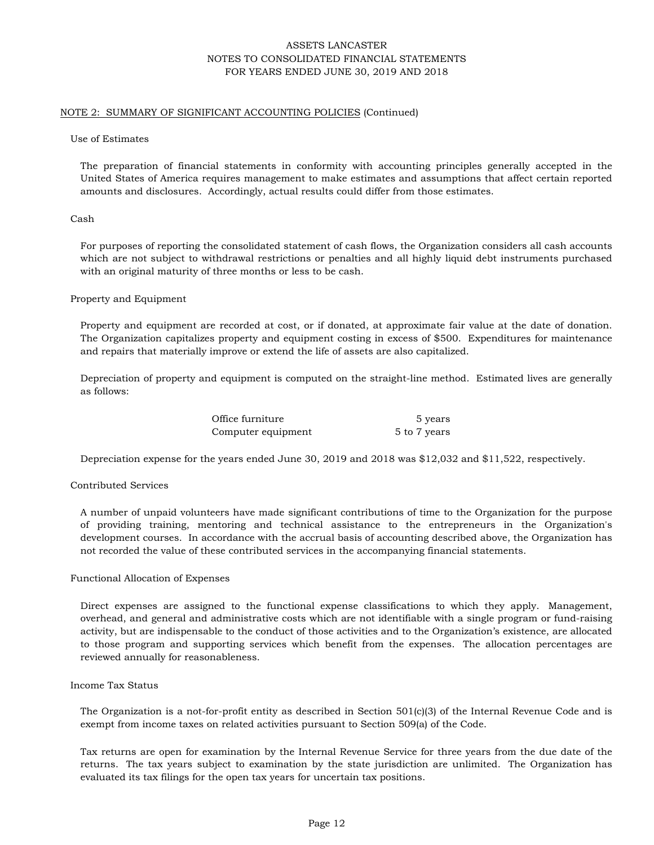### NOTE 2: SUMMARY OF SIGNIFICANT ACCOUNTING POLICIES (Continued)

#### Use of Estimates

The preparation of financial statements in conformity with accounting principles generally accepted in the United States of America requires management to make estimates and assumptions that affect certain reported amounts and disclosures. Accordingly, actual results could differ from those estimates.

#### Cash

For purposes of reporting the consolidated statement of cash flows, the Organization considers all cash accounts which are not subject to withdrawal restrictions or penalties and all highly liquid debt instruments purchased with an original maturity of three months or less to be cash.

#### Property and Equipment

Property and equipment are recorded at cost, or if donated, at approximate fair value at the date of donation. The Organization capitalizes property and equipment costing in excess of \$500. Expenditures for maintenance and repairs that materially improve or extend the life of assets are also capitalized.

Depreciation of property and equipment is computed on the straight-line method. Estimated lives are generally as follows:

| Office furniture   | 5 years      |
|--------------------|--------------|
| Computer equipment | 5 to 7 years |

Depreciation expense for the years ended June 30, 2019 and 2018 was \$12,032 and \$11,522, respectively.

### Contributed Services

A number of unpaid volunteers have made significant contributions of time to the Organization for the purpose of providing training, mentoring and technical assistance to the entrepreneurs in the Organization's development courses. In accordance with the accrual basis of accounting described above, the Organization has not recorded the value of these contributed services in the accompanying financial statements.

#### Functional Allocation of Expenses

Direct expenses are assigned to the functional expense classifications to which they apply. Management, overhead, and general and administrative costs which are not identifiable with a single program or fund-raising activity, but are indispensable to the conduct of those activities and to the Organization's existence, are allocated to those program and supporting services which benefit from the expenses. The allocation percentages are reviewed annually for reasonableness.

### Income Tax Status

The Organization is a not-for-profit entity as described in Section 501(c)(3) of the Internal Revenue Code and is exempt from income taxes on related activities pursuant to Section 509(a) of the Code.

Tax returns are open for examination by the Internal Revenue Service for three years from the due date of the returns. The tax years subject to examination by the state jurisdiction are unlimited. The Organization has evaluated its tax filings for the open tax years for uncertain tax positions.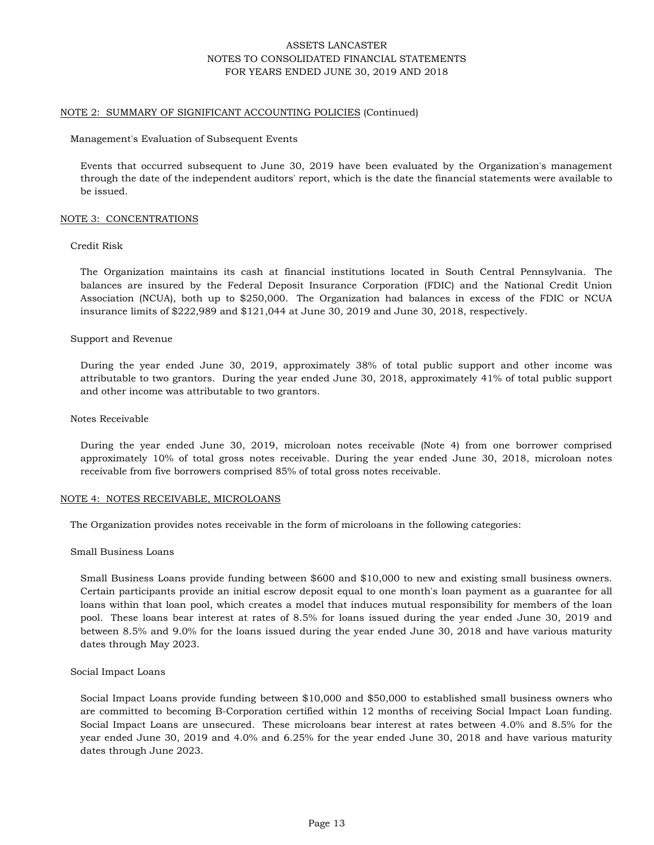#### NOTE 2: SUMMARY OF SIGNIFICANT ACCOUNTING POLICIES (Continued)

Management's Evaluation of Subsequent Events

Events that occurred subsequent to June 30, 2019 have been evaluated by the Organization's management through the date of the independent auditors' report, which is the date the financial statements were available to be issued.

#### NOTE 3: CONCENTRATIONS

#### Credit Risk

The Organization maintains its cash at financial institutions located in South Central Pennsylvania. The balances are insured by the Federal Deposit Insurance Corporation (FDIC) and the National Credit Union Association (NCUA), both up to \$250,000. The Organization had balances in excess of the FDIC or NCUA insurance limits of \$222,989 and \$121,044 at June 30, 2019 and June 30, 2018, respectively.

#### Support and Revenue

During the year ended June 30, 2019, approximately 38% of total public support and other income was attributable to two grantors. During the year ended June 30, 2018, approximately 41% of total public support and other income was attributable to two grantors.

#### Notes Receivable

During the year ended June 30, 2019, microloan notes receivable (Note 4) from one borrower comprised approximately 10% of total gross notes receivable. During the year ended June 30, 2018, microloan notes receivable from five borrowers comprised 85% of total gross notes receivable.

#### NOTE 4: NOTES RECEIVABLE, MICROLOANS

The Organization provides notes receivable in the form of microloans in the following categories:

#### Small Business Loans

Small Business Loans provide funding between \$600 and \$10,000 to new and existing small business owners. Certain participants provide an initial escrow deposit equal to one month's loan payment as a guarantee for all loans within that loan pool, which creates a model that induces mutual responsibility for members of the loan pool. These loans bear interest at rates of 8.5% for loans issued during the year ended June 30, 2019 and between 8.5% and 9.0% for the loans issued during the year ended June 30, 2018 and have various maturity dates through May 2023.

#### Social Impact Loans

Social Impact Loans provide funding between \$10,000 and \$50,000 to established small business owners who are committed to becoming B-Corporation certified within 12 months of receiving Social Impact Loan funding. Social Impact Loans are unsecured. These microloans bear interest at rates between 4.0% and 8.5% for the year ended June 30, 2019 and 4.0% and 6.25% for the year ended June 30, 2018 and have various maturity dates through June 2023.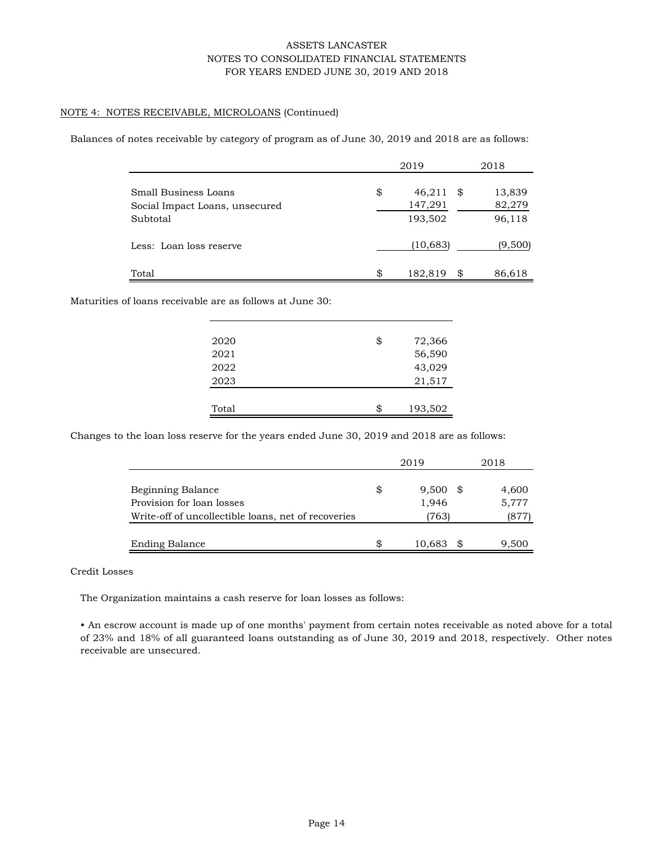## NOTE 4: NOTES RECEIVABLE, MICROLOANS (Continued)

Balances of notes receivable by category of program as of June 30, 2019 and 2018 are as follows:

|                                                                    | 2019 |                              |    | 2018                       |
|--------------------------------------------------------------------|------|------------------------------|----|----------------------------|
| Small Business Loans<br>Social Impact Loans, unsecured<br>Subtotal | \$   | 46,211<br>147,291<br>193,502 | \$ | 13,839<br>82,279<br>96,118 |
| Less: Loan loss reserve                                            |      | (10, 683)                    |    | (9,500)                    |
| Total                                                              | \$   | 182,819                      | \$ | 86,618                     |

Maturities of loans receivable are as follows at June 30:

| 2020  | \$<br>72,366  |
|-------|---------------|
| 2021  | 56,590        |
| 2022  | 43,029        |
| 2023  | 21,517        |
|       |               |
| Total | \$<br>193,502 |

Changes to the loan loss reserve for the years ended June 30, 2019 and 2018 are as follows:

|                                                                                  | 2019               | 2018          |
|----------------------------------------------------------------------------------|--------------------|---------------|
| Beginning Balance                                                                | \$<br>9,500<br>SS. | 4,600         |
| Provision for loan losses<br>Write-off of uncollectible loans, net of recoveries | 1,946<br>(763)     | 5,777<br>(877 |
| <b>Ending Balance</b>                                                            | \$<br>10,683       | 9,500         |

### Credit Losses

The Organization maintains a cash reserve for loan losses as follows:

• An escrow account is made up of one months' payment from certain notes receivable as noted above for a total of 23% and 18% of all guaranteed loans outstanding as of June 30, 2019 and 2018, respectively. Other notes receivable are unsecured.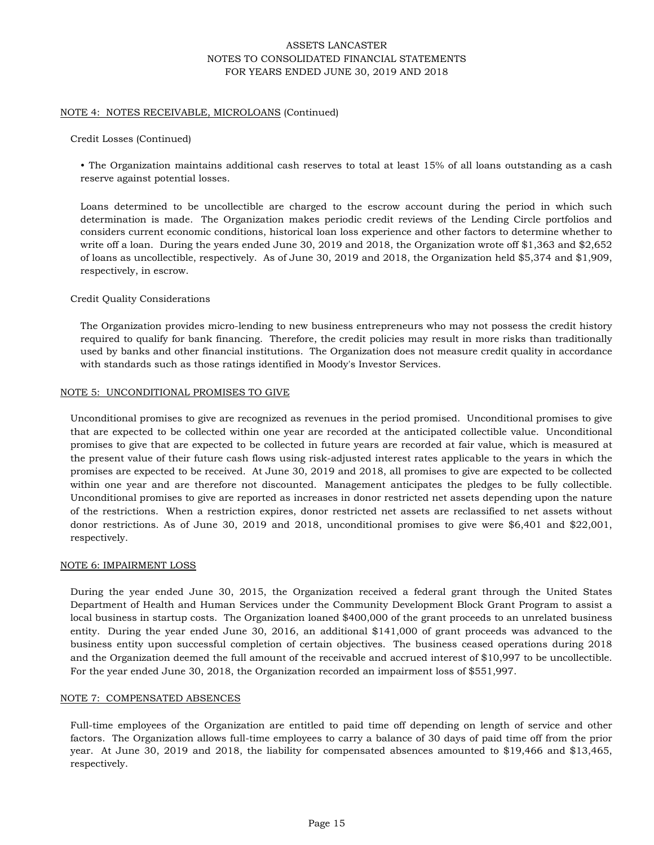### NOTE 4: NOTES RECEIVABLE, MICROLOANS (Continued)

### Credit Losses (Continued)

• The Organization maintains additional cash reserves to total at least 15% of all loans outstanding as a cash reserve against potential losses.

Loans determined to be uncollectible are charged to the escrow account during the period in which such determination is made. The Organization makes periodic credit reviews of the Lending Circle portfolios and considers current economic conditions, historical loan loss experience and other factors to determine whether to write off a loan. During the years ended June 30, 2019 and 2018, the Organization wrote off \$1,363 and \$2,652 of loans as uncollectible, respectively. As of June 30, 2019 and 2018, the Organization held \$5,374 and \$1,909, respectively, in escrow.

### Credit Quality Considerations

The Organization provides micro-lending to new business entrepreneurs who may not possess the credit history required to qualify for bank financing. Therefore, the credit policies may result in more risks than traditionally used by banks and other financial institutions. The Organization does not measure credit quality in accordance with standards such as those ratings identified in Moody's Investor Services.

### NOTE 5: UNCONDITIONAL PROMISES TO GIVE

Unconditional promises to give are recognized as revenues in the period promised. Unconditional promises to give that are expected to be collected within one year are recorded at the anticipated collectible value. Unconditional promises to give that are expected to be collected in future years are recorded at fair value, which is measured at the present value of their future cash flows using risk-adjusted interest rates applicable to the years in which the promises are expected to be received. At June 30, 2019 and 2018, all promises to give are expected to be collected within one year and are therefore not discounted. Management anticipates the pledges to be fully collectible. Unconditional promises to give are reported as increases in donor restricted net assets depending upon the nature of the restrictions. When a restriction expires, donor restricted net assets are reclassified to net assets without donor restrictions. As of June 30, 2019 and 2018, unconditional promises to give were \$6,401 and \$22,001, respectively.

### NOTE 6: IMPAIRMENT LOSS

During the year ended June 30, 2015, the Organization received a federal grant through the United States Department of Health and Human Services under the Community Development Block Grant Program to assist a local business in startup costs. The Organization loaned \$400,000 of the grant proceeds to an unrelated business entity. During the year ended June 30, 2016, an additional \$141,000 of grant proceeds was advanced to the business entity upon successful completion of certain objectives. The business ceased operations during 2018 and the Organization deemed the full amount of the receivable and accrued interest of \$10,997 to be uncollectible. For the year ended June 30, 2018, the Organization recorded an impairment loss of \$551,997.

## NOTE 7: COMPENSATED ABSENCES

Full-time employees of the Organization are entitled to paid time off depending on length of service and other factors. The Organization allows full-time employees to carry a balance of 30 days of paid time off from the prior year. At June 30, 2019 and 2018, the liability for compensated absences amounted to \$19,466 and \$13,465, respectively.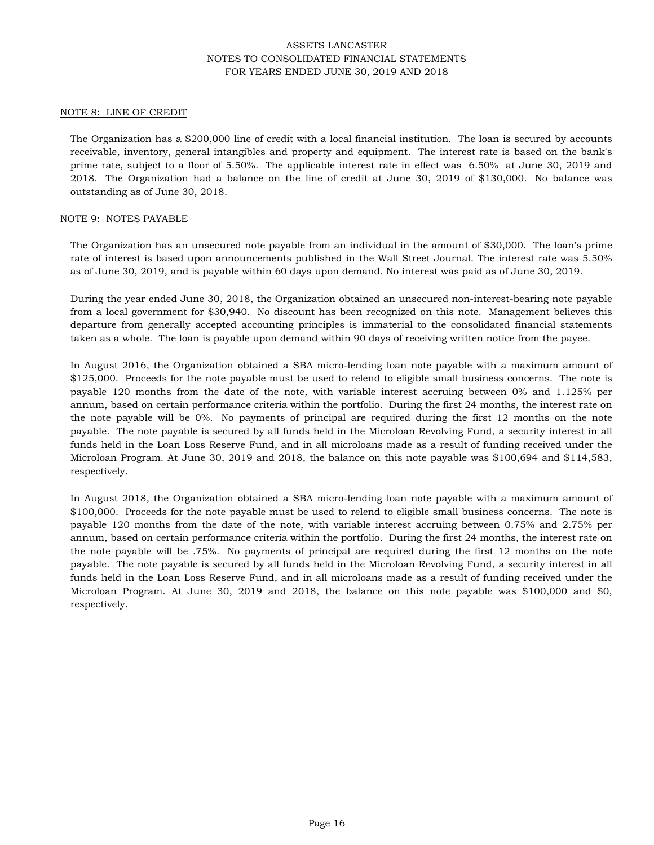#### NOTE 8: LINE OF CREDIT

The Organization has a \$200,000 line of credit with a local financial institution. The loan is secured by accounts receivable, inventory, general intangibles and property and equipment. The interest rate is based on the bank's prime rate, subject to a floor of 5.50%. The applicable interest rate in effect was 6.50% at June 30, 2019 and 2018. The Organization had a balance on the line of credit at June 30, 2019 of \$130,000. No balance was outstanding as of June 30, 2018.

#### NOTE 9: NOTES PAYABLE

The Organization has an unsecured note payable from an individual in the amount of \$30,000. The loan's prime rate of interest is based upon announcements published in the Wall Street Journal. The interest rate was 5.50% as of June 30, 2019, and is payable within 60 days upon demand. No interest was paid as of June 30, 2019.

During the year ended June 30, 2018, the Organization obtained an unsecured non-interest-bearing note payable from a local government for \$30,940. No discount has been recognized on this note. Management believes this departure from generally accepted accounting principles is immaterial to the consolidated financial statements taken as a whole. The loan is payable upon demand within 90 days of receiving written notice from the payee.

In August 2016, the Organization obtained a SBA micro-lending loan note payable with a maximum amount of \$125,000. Proceeds for the note payable must be used to relend to eligible small business concerns. The note is payable 120 months from the date of the note, with variable interest accruing between 0% and 1.125% per annum, based on certain performance criteria within the portfolio. During the first 24 months, the interest rate on the note payable will be 0%. No payments of principal are required during the first 12 months on the note payable. The note payable is secured by all funds held in the Microloan Revolving Fund, a security interest in all funds held in the Loan Loss Reserve Fund, and in all microloans made as a result of funding received under the Microloan Program. At June 30, 2019 and 2018, the balance on this note payable was \$100,694 and \$114,583, respectively.

In August 2018, the Organization obtained a SBA micro-lending loan note payable with a maximum amount of \$100,000. Proceeds for the note payable must be used to relend to eligible small business concerns. The note is payable 120 months from the date of the note, with variable interest accruing between 0.75% and 2.75% per annum, based on certain performance criteria within the portfolio. During the first 24 months, the interest rate on the note payable will be .75%. No payments of principal are required during the first 12 months on the note payable. The note payable is secured by all funds held in the Microloan Revolving Fund, a security interest in all funds held in the Loan Loss Reserve Fund, and in all microloans made as a result of funding received under the Microloan Program. At June 30, 2019 and 2018, the balance on this note payable was \$100,000 and \$0, respectively.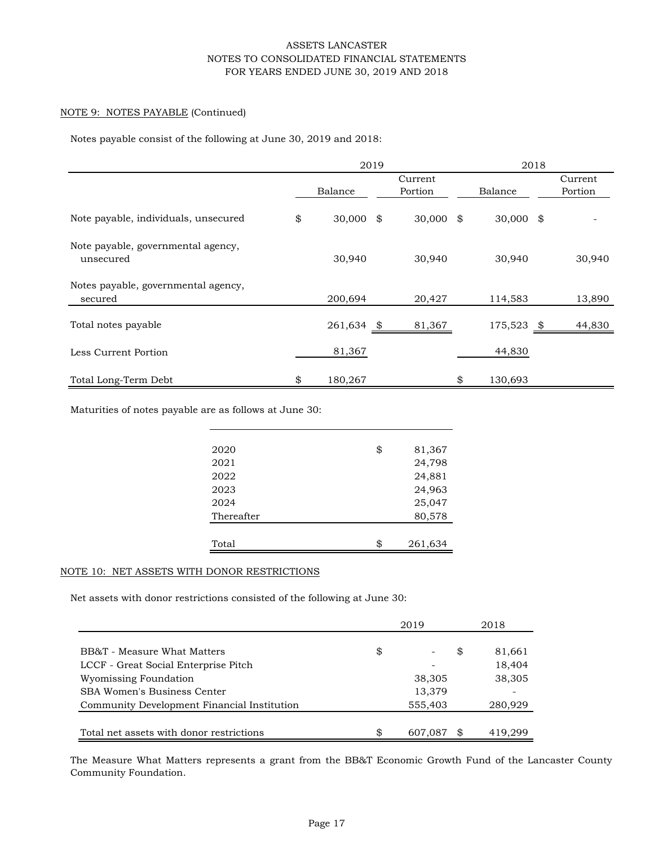## NOTE 9: NOTES PAYABLE (Continued)

Notes payable consist of the following at June 30, 2019 and 2018:

|                                                 | 2019              |  |             |    | 2018        |  |         |
|-------------------------------------------------|-------------------|--|-------------|----|-------------|--|---------|
|                                                 |                   |  | Current     |    |             |  | Current |
|                                                 | Balance           |  | Portion     |    | Balance     |  | Portion |
| Note payable, individuals, unsecured            | \$<br>$30,000$ \$ |  | $30,000$ \$ |    | $30,000$ \$ |  |         |
| Note payable, governmental agency,<br>unsecured | 30,940            |  | 30,940      |    | 30,940      |  | 30,940  |
| Notes payable, governmental agency,<br>secured  | 200,694           |  | 20,427      |    | 114,583     |  | 13,890  |
| Total notes payable                             | 261,634 \$        |  | 81,367      |    | 175,523 \$  |  | 44,830  |
| Less Current Portion                            | 81,367            |  |             |    | 44,830      |  |         |
| Total Long-Term Debt                            | \$<br>180,267     |  |             | \$ | 130,693     |  |         |

Maturities of notes payable are as follows at June 30:

| 2020       | \$<br>81,367  |
|------------|---------------|
| 2021       | 24,798        |
| 2022       | 24,881        |
| 2023       | 24,963        |
| 2024       | 25,047        |
| Thereafter | 80,578        |
|            |               |
| Total      | \$<br>261,634 |

## NOTE 10: NET ASSETS WITH DONOR RESTRICTIONS

Net assets with donor restrictions consisted of the following at June 30:

|                                             | 2019          | 2018         |
|---------------------------------------------|---------------|--------------|
|                                             |               |              |
| BB&T - Measure What Matters                 | \$            | \$<br>81,661 |
| LCCF - Great Social Enterprise Pitch        |               | 18,404       |
| Wyomissing Foundation                       | 38,305        | 38,305       |
| SBA Women's Business Center                 | 13,379        |              |
| Community Development Financial Institution | 555,403       | 280,929      |
|                                             |               |              |
| Total net assets with donor restrictions    | \$<br>607,087 | 419.299      |

The Measure What Matters represents a grant from the BB&T Economic Growth Fund of the Lancaster County Community Foundation.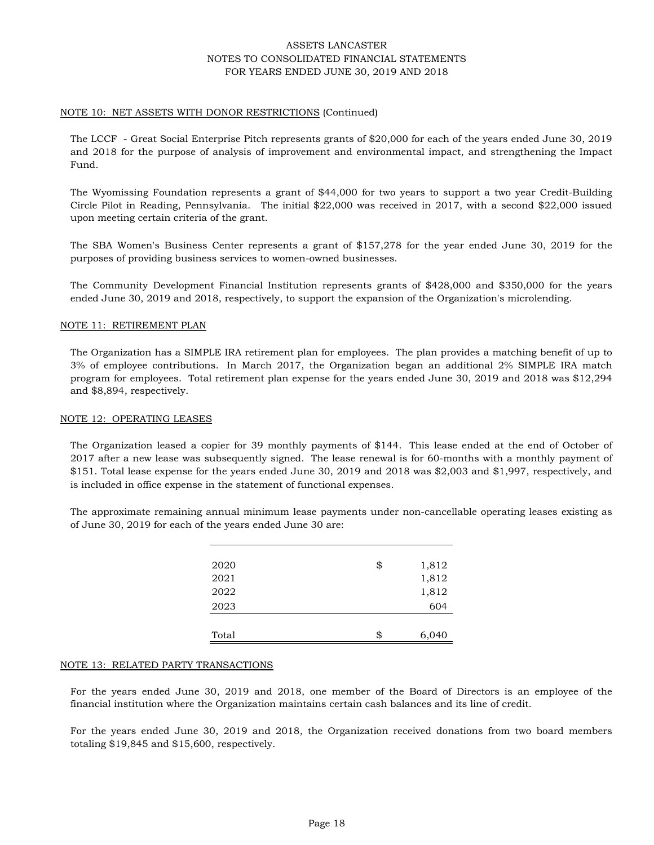### NOTE 10: NET ASSETS WITH DONOR RESTRICTIONS (Continued)

The LCCF - Great Social Enterprise Pitch represents grants of \$20,000 for each of the years ended June 30, 2019 and 2018 for the purpose of analysis of improvement and environmental impact, and strengthening the Impact Fund.

The Wyomissing Foundation represents a grant of \$44,000 for two years to support a two year Credit-Building Circle Pilot in Reading, Pennsylvania. The initial \$22,000 was received in 2017, with a second \$22,000 issued upon meeting certain criteria of the grant.

The SBA Women's Business Center represents a grant of \$157,278 for the year ended June 30, 2019 for the purposes of providing business services to women-owned businesses.

The Community Development Financial Institution represents grants of \$428,000 and \$350,000 for the years ended June 30, 2019 and 2018, respectively, to support the expansion of the Organization's microlending.

#### NOTE 11: RETIREMENT PLAN

The Organization has a SIMPLE IRA retirement plan for employees. The plan provides a matching benefit of up to 3% of employee contributions. In March 2017, the Organization began an additional 2% SIMPLE IRA match program for employees. Total retirement plan expense for the years ended June 30, 2019 and 2018 was \$12,294 and \$8,894, respectively.

#### NOTE 12: OPERATING LEASES

The Organization leased a copier for 39 monthly payments of \$144. This lease ended at the end of October of 2017 after a new lease was subsequently signed. The lease renewal is for 60-months with a monthly payment of \$151. Total lease expense for the years ended June 30, 2019 and 2018 was \$2,003 and \$1,997, respectively, and is included in office expense in the statement of functional expenses.

The approximate remaining annual minimum lease payments under non-cancellable operating leases existing as of June 30, 2019 for each of the years ended June 30 are:

| Total | \$<br>6,040 |
|-------|-------------|
| 2023  | 604         |
| 2022  | 1,812       |
| 2021  | 1,812       |
| 2020  | \$<br>1,812 |
|       |             |

#### NOTE 13: RELATED PARTY TRANSACTIONS

For the years ended June 30, 2019 and 2018, one member of the Board of Directors is an employee of the financial institution where the Organization maintains certain cash balances and its line of credit.

For the years ended June 30, 2019 and 2018, the Organization received donations from two board members totaling \$19,845 and \$15,600, respectively.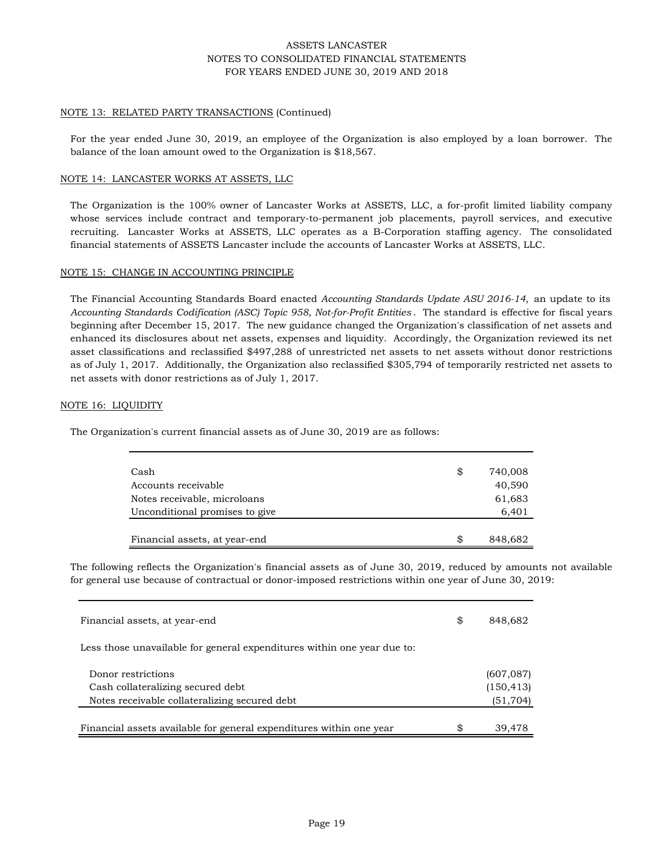## NOTE 13: RELATED PARTY TRANSACTIONS (Continued)

For the year ended June 30, 2019, an employee of the Organization is also employed by a loan borrower. The balance of the loan amount owed to the Organization is \$18,567.

### NOTE 14: LANCASTER WORKS AT ASSETS, LLC

The Organization is the 100% owner of Lancaster Works at ASSETS, LLC, a for-profit limited liability company whose services include contract and temporary-to-permanent job placements, payroll services, and executive recruiting. Lancaster Works at ASSETS, LLC operates as a B-Corporation staffing agency. The consolidated financial statements of ASSETS Lancaster include the accounts of Lancaster Works at ASSETS, LLC.

#### NOTE 15: CHANGE IN ACCOUNTING PRINCIPLE

The Financial Accounting Standards Board enacted *Accounting Standards Update ASU 2016-14,* an update to its *Accounting Standards Codification (ASC) Topic 958, Not-for-Profit Entities* . The standard is effective for fiscal years beginning after December 15, 2017. The new guidance changed the Organization's classification of net assets and enhanced its disclosures about net assets, expenses and liquidity. Accordingly, the Organization reviewed its net asset classifications and reclassified \$497,288 of unrestricted net assets to net assets without donor restrictions as of July 1, 2017. Additionally, the Organization also reclassified \$305,794 of temporarily restricted net assets to net assets with donor restrictions as of July 1, 2017.

### NOTE 16: LIQUIDITY

The Organization's current financial assets as of June 30, 2019 are as follows:

| Cash                           | \$ | 740,008 |
|--------------------------------|----|---------|
| Accounts receivable            |    | 40,590  |
| Notes receivable, microloans   |    | 61,683  |
| Unconditional promises to give |    | 6,401   |
|                                |    |         |
| Financial assets, at year-end  | S  | 848,682 |

The following reflects the Organization's financial assets as of June 30, 2019, reduced by amounts not available for general use because of contractual or donor-imposed restrictions within one year of June 30, 2019:

| Financial assets, at year-end                                                      | \$<br>848,682          |
|------------------------------------------------------------------------------------|------------------------|
| Less those unavailable for general expenditures within one year due to:            |                        |
| Donor restrictions                                                                 | (607, 087)             |
| Cash collateralizing secured debt<br>Notes receivable collateralizing secured debt | (150, 413)<br>(51,704) |
|                                                                                    |                        |
| Financial assets available for general expenditures within one year                | \$<br>39,478           |